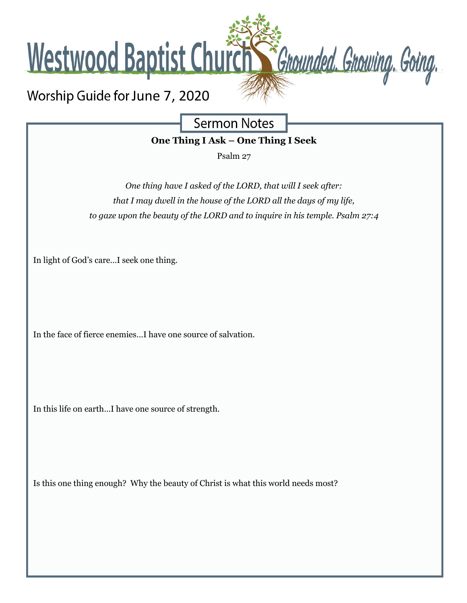

**Sermon Notes** 

**One Thing I Ask – One Thing I Seek**

Psalm 27

*One thing have I asked of the LORD, that will I seek after: that I may dwell in the house of the LORD all the days of my life, to gaze upon the beauty of the LORD and to inquire in his temple. Psalm 27:4*

In light of God's care…I seek one thing.

In the face of fierce enemies…I have one source of salvation.

In this life on earth…I have one source of strength.

Is this one thing enough? Why the beauty of Christ is what this world needs most?